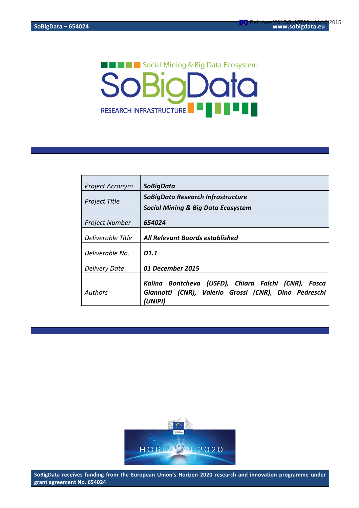# **THE EXECUTE:** Social Mining & Big Data Ecosystem **SoBioDoto** RESEARCH INFRASTRUCTURE

| <b>Project Acronym</b> | <b>SoBigData</b>                                                                                                        |
|------------------------|-------------------------------------------------------------------------------------------------------------------------|
| <b>Project Title</b>   | SoBigData Research Infrastructure<br><b>Social Mining &amp; Big Data Ecosystem</b>                                      |
| <b>Project Number</b>  | 654024                                                                                                                  |
| Deliverable Title      | All Relevant Boards established                                                                                         |
| Deliverable No.        | D1.1                                                                                                                    |
| <b>Delivery Date</b>   | 01 December 2015                                                                                                        |
| Authors                | Kalina Bontcheva (USFD), Chiara Falchi (CNR), Fosca<br>Giannotti (CNR), Valerio Grossi (CNR), Dino Pedreschi<br>(UNIPI) |



SoBigData receives funding from the European Union's Horizon 2020 research and innovation programme under **grant agreement No. 654024**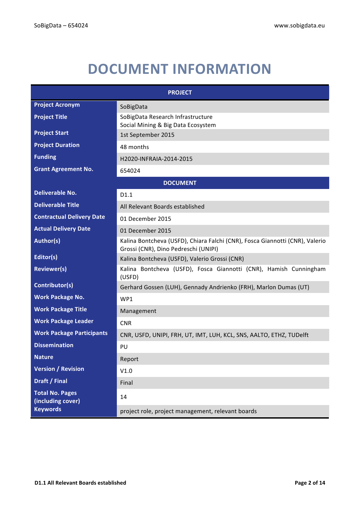## **DOCUMENT INFORMATION**

| <b>PROJECT</b>                              |                                                                                                                      |  |
|---------------------------------------------|----------------------------------------------------------------------------------------------------------------------|--|
| <b>Project Acronym</b>                      | SoBigData                                                                                                            |  |
| <b>Project Title</b>                        | SoBigData Research Infrastructure<br>Social Mining & Big Data Ecosystem                                              |  |
| <b>Project Start</b>                        | 1st September 2015                                                                                                   |  |
| <b>Project Duration</b>                     | 48 months                                                                                                            |  |
| <b>Funding</b>                              | H2020-INFRAIA-2014-2015                                                                                              |  |
| <b>Grant Agreement No.</b>                  | 654024                                                                                                               |  |
| <b>DOCUMENT</b>                             |                                                                                                                      |  |
| <b>Deliverable No.</b>                      | D1.1                                                                                                                 |  |
| <b>Deliverable Title</b>                    | All Relevant Boards established                                                                                      |  |
| <b>Contractual Delivery Date</b>            | 01 December 2015                                                                                                     |  |
| <b>Actual Delivery Date</b>                 | 01 December 2015                                                                                                     |  |
| Author(s)                                   | Kalina Bontcheva (USFD), Chiara Falchi (CNR), Fosca Giannotti (CNR), Valerio<br>Grossi (CNR), Dino Pedreschi (UNIPI) |  |
| Editor(s)                                   | Kalina Bontcheva (USFD), Valerio Grossi (CNR)                                                                        |  |
| <b>Reviewer(s)</b>                          | Kalina Bontcheva (USFD), Fosca Giannotti (CNR), Hamish Cunningham<br>(USFD)                                          |  |
| Contributor(s)                              | Gerhard Gossen (LUH), Gennady Andrienko (FRH), Marlon Dumas (UT)                                                     |  |
| <b>Work Package No.</b>                     | WP1                                                                                                                  |  |
| <b>Work Package Title</b>                   | Management                                                                                                           |  |
| <b>Work Package Leader</b>                  | <b>CNR</b>                                                                                                           |  |
| <b>Work Package Participants</b>            | CNR, USFD, UNIPI, FRH, UT, IMT, LUH, KCL, SNS, AALTO, ETHZ, TUDelft                                                  |  |
| <b>Dissemination</b>                        | PU                                                                                                                   |  |
| <b>Nature</b>                               | Report                                                                                                               |  |
| <b>Version / Revision</b>                   | V1.0                                                                                                                 |  |
| Draft / Final                               | Final                                                                                                                |  |
| <b>Total No. Pages</b><br>(including cover) | 14                                                                                                                   |  |
| <b>Keywords</b>                             | project role, project management, relevant boards                                                                    |  |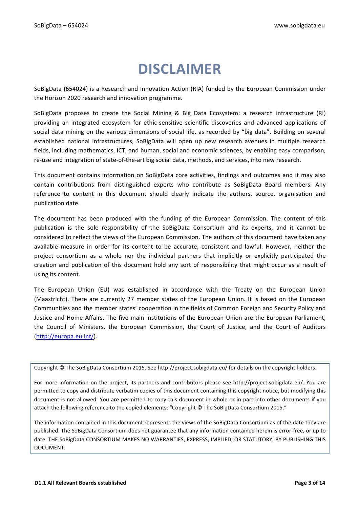## **DISCLAIMER**

SoBigData (654024) is a Research and Innovation Action (RIA) funded by the European Commission under the Horizon 2020 research and innovation programme.

SoBigData proposes to create the Social Mining & Big Data Ecosystem: a research infrastructure (RI) providing an integrated ecosystem for ethic-sensitive scientific discoveries and advanced applications of social data mining on the various dimensions of social life, as recorded by "big data". Building on several established national infrastructures, SoBigData will open up new research avenues in multiple research fields, including mathematics, ICT, and human, social and economic sciences, by enabling easy comparison, re-use and integration of state-of-the-art big social data, methods, and services, into new research.

This document contains information on SoBigData core activities, findings and outcomes and it may also contain contributions from distinguished experts who contribute as SoBigData Board members. Any reference to content in this document should clearly indicate the authors, source, organisation and publication date.

The document has been produced with the funding of the European Commission. The content of this publication is the sole responsibility of the SoBigData Consortium and its experts, and it cannot be considered to reflect the views of the European Commission. The authors of this document have taken any available measure in order for its content to be accurate, consistent and lawful. However, neither the project consortium as a whole nor the individual partners that implicitly or explicitly participated the creation and publication of this document hold any sort of responsibility that might occur as a result of using its content.

The European Union (EU) was established in accordance with the Treaty on the European Union (Maastricht). There are currently 27 member states of the European Union. It is based on the European Communities and the member states' cooperation in the fields of Common Foreign and Security Policy and Justice and Home Affairs. The five main institutions of the European Union are the European Parliament, the Council of Ministers, the European Commission, the Court of Justice, and the Court of Auditors (http://europa.eu.int/).

Copyright © The SoBigData Consortium 2015. See http://project.sobigdata.eu/ for details on the copyright holders.

For more information on the project, its partners and contributors please see http://project.sobigdata.eu/. You are permitted to copy and distribute verbatim copies of this document containing this copyright notice, but modifying this document is not allowed. You are permitted to copy this document in whole or in part into other documents if you attach the following reference to the copied elements: "Copyright © The SoBigData Consortium 2015."

The information contained in this document represents the views of the SoBigData Consortium as of the date they are published. The SoBigData Consortium does not guarantee that any information contained herein is error-free, or up to date. THE SoBigData CONSORTIUM MAKES NO WARRANTIES, EXPRESS, IMPLIED, OR STATUTORY, BY PUBLISHING THIS DOCUMENT.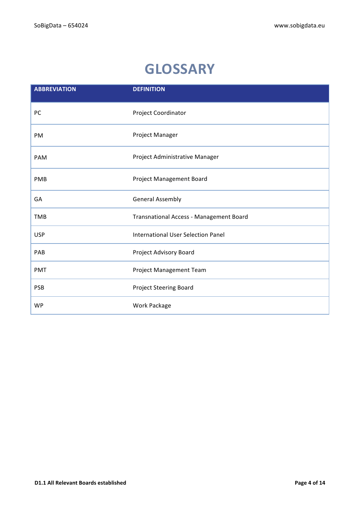## **GLOSSARY**

| <b>ABBREVIATION</b> | <b>DEFINITION</b>                         |
|---------------------|-------------------------------------------|
| PC                  | Project Coordinator                       |
| PM                  | Project Manager                           |
| PAM                 | Project Administrative Manager            |
| PMB                 | Project Management Board                  |
| GA                  | <b>General Assembly</b>                   |
| <b>TMB</b>          | Transnational Access - Management Board   |
| <b>USP</b>          | <b>International User Selection Panel</b> |
| PAB                 | Project Advisory Board                    |
| <b>PMT</b>          | Project Management Team                   |
| <b>PSB</b>          | Project Steering Board                    |
| <b>WP</b>           | Work Package                              |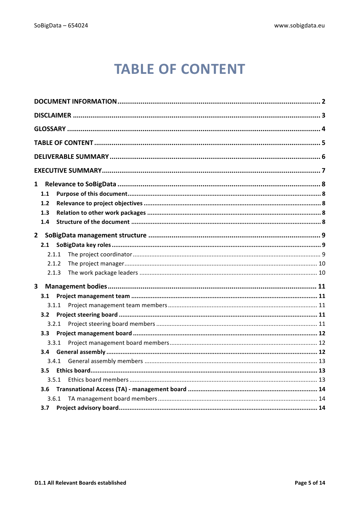## **TABLE OF CONTENT**

| $\mathbf{1}$            |  |  |
|-------------------------|--|--|
| 1.1                     |  |  |
| 1.2                     |  |  |
| 1.3                     |  |  |
| 1.4                     |  |  |
| $\overline{2}$          |  |  |
| 2.1                     |  |  |
| 2.1.1                   |  |  |
| 2.1.2                   |  |  |
| 2.1.3                   |  |  |
|                         |  |  |
| $\overline{\mathbf{3}}$ |  |  |
| 3.1                     |  |  |
| 3.1.1                   |  |  |
| 3.2                     |  |  |
| 3.2.1                   |  |  |
| 3.3                     |  |  |
| 3.3.1                   |  |  |
| 3.4                     |  |  |
| 3.4.1                   |  |  |
| 3.5                     |  |  |
| 3.5.1                   |  |  |
| 3.6                     |  |  |
| 3.6.1                   |  |  |
| 3.7                     |  |  |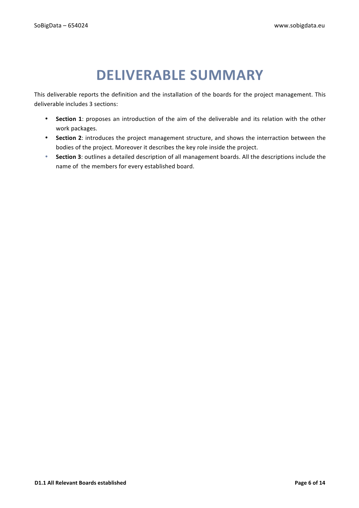## **DELIVERABLE SUMMARY**

This deliverable reports the definition and the installation of the boards for the project management. This deliverable includes 3 sections:

- Section 1: proposes an introduction of the aim of the deliverable and its relation with the other work packages.
- Section 2: introduces the project management structure, and shows the interraction between the bodies of the project. Moreover it describes the key role inside the project.
- Section 3: outlines a detailed description of all management boards. All the descriptions include the name of the members for every established board.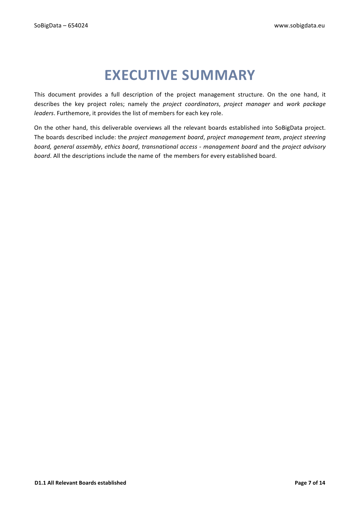## **EXECUTIVE SUMMARY**

This document provides a full description of the project management structure. On the one hand, it describes the key project roles; namely the *project coordinators*, *project manager* and *work package leaders*. Furthemore, it provides the list of members for each key role.

On the other hand, this deliverable overviews all the relevant boards established into SoBigData project. The boards described include: the *project management board*, *project management team*, *project steering board, general assembly, ethics board, transnational access - management board and the project advisory board*. All the descriptions include the name of the members for every established board.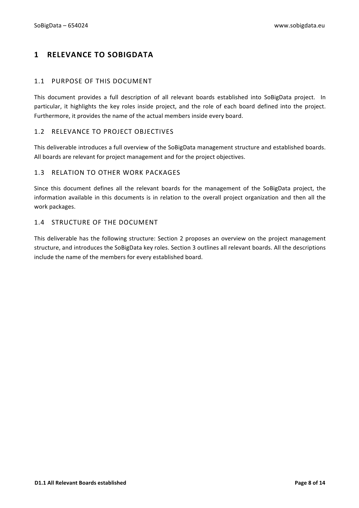## **1 RELEVANCE TO SOBIGDATA**

## 1.1 PURPOSE OF THIS DOCUMENT

This document provides a full description of all relevant boards established into SoBigData project. In particular, it highlights the key roles inside project, and the role of each board defined into the project. Furthermore, it provides the name of the actual members inside every board.

## 1.2 RELEVANCE TO PROJECT OBJECTIVES

This deliverable introduces a full overview of the SoBigData management structure and established boards. All boards are relevant for project management and for the project objectives.

## 1.3 RELATION TO OTHER WORK PACKAGES

Since this document defines all the relevant boards for the management of the SoBigData project, the information available in this documents is in relation to the overall project organization and then all the work packages.

## 1.4 STRUCTURE OF THE DOCUMENT

This deliverable has the following structure: Section 2 proposes an overview on the project management structure, and introduces the SoBigData key roles. Section 3 outlines all relevant boards. All the descriptions include the name of the members for every established board.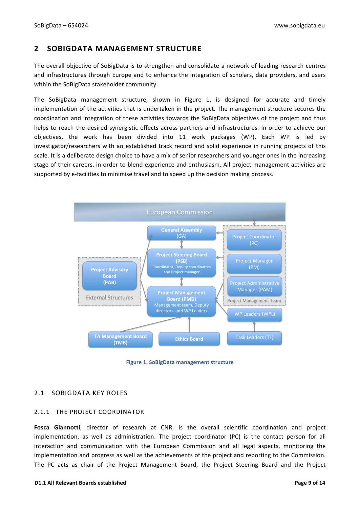## **2 SOBIGDATA MANAGEMENT STRUCTURE**

The overall objective of SoBigData is to strengthen and consolidate a network of leading research centres and infrastructures through Europe and to enhance the integration of scholars, data providers, and users within the SoBigData stakeholder community.

The SoBigData management structure, shown in Figure 1, is designed for accurate and timely implementation of the activities that is undertaken in the project. The management structure secures the **Structure** coordination and integration of these activities towards the SoBigData objectives of the project and thus helps to reach the desired synergistic effects across partners and infrastructures. In order to achieve our<br>obiectives, the work has been divided into 11 work packages (WP). Each WP is led by objectives, the work has been divided into 11 work packages (WP). Each WP is led by investigator/researchers with an established track record and solid experience in running projects of this scale. It is a deliberate design choice to have a mix of senior researchers and younger ones in the increasing stage of their careers, in order to blend experience and enthusiasm. All project management activities are supported by e-facilities to minimise travel and to speed up the decision making process.



**Figure 1. SoBigData management structure** *Figure 6. SoBigData Management Structure.*

## 2.1 SOBIGDATA KEY ROLES secures the coordination and integration of these activities towards the **SoBigData** objectives of the

## 2.1.1 THE PROJECT COORDINATOR

**Fosca Giannotti**, director of research at CNR, is the overall scientific coordination and project implementation, as well as administration. The project coordinator (PC) is the contact person for all interaction and communication with the European Commission and all legal aspects, monitoring the implementation and progress as well as the achievements of the project and reporting to the Commission. The PC acts as chair of the Project Management Board, the Project Steering Board and the Project  $\frac{1}{2}$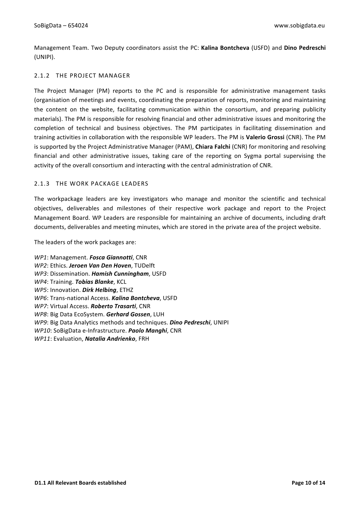Management Team. Two Deputy coordinators assist the PC: Kalina Bontcheva (USFD) and Dino Pedreschi (UNIPI).

## 2.1.2 THE PROJECT MANAGER

The Project Manager (PM) reports to the PC and is responsible for administrative management tasks (organisation of meetings and events, coordinating the preparation of reports, monitoring and maintaining the content on the website, facilitating communication within the consortium, and preparing publicity materials). The PM is responsible for resolving financial and other administrative issues and monitoring the completion of technical and business objectives. The PM participates in facilitating dissemination and training activities in collaboration with the responsible WP leaders. The PM is Valerio Grossi (CNR). The PM is supported by the Project Administrative Manager (PAM), **Chiara Falchi** (CNR) for monitoring and resolving financial and other administrative issues, taking care of the reporting on Sygma portal supervising the activity of the overall consortium and interacting with the central administration of CNR.

## 2.1.3 THE WORK PACKAGE LEADERS

The workpackage leaders are key investigators who manage and monitor the scientific and technical objectives, deliverables and milestones of their respective work package and report to the Project Management Board. WP Leaders are responsible for maintaining an archive of documents, including draft documents, deliverables and meeting minutes, which are stored in the private area of the project website.

The leaders of the work packages are:

*WP1*: Management. Fosca Giannotti, CNR WP2: Ethics. Jeroen Van Den Hoven, TUDelft *WP3*: Dissemination. *Hamish Cunningham*, USFD *WP4*: Training. **Tobias Blanke**, KCL *WP5*: Innovation. *Dirk Helbing*, ETHZ *WP6*: Trans-national Access. **Kalina Bontcheva**, USFD *WP7*: Virtual Access. **Roberto Trasarti**, CNR *WP8*: Big Data EcoSystem. Gerhard Gossen, LUH *WP9*: Big Data Analytics methods and techniques. *Dino Pedreschi*, UNIPI *WP10*: SoBigData e-Infrastructure. *Paolo Manghi*, CNR *WP11*: Evaluation, *Natalia Andrienko*, FRH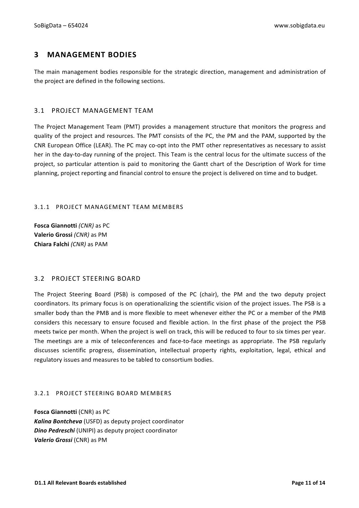## **3 MANAGEMENT BODIES**

The main management bodies responsible for the strategic direction, management and administration of the project are defined in the following sections.

## 3.1 PROJECT MANAGEMENT TEAM

The Project Management Team (PMT) provides a management structure that monitors the progress and quality of the project and resources. The PMT consists of the PC, the PM and the PAM, supported by the CNR European Office (LEAR). The PC may co-opt into the PMT other representatives as necessary to assist her in the day-to-day running of the project. This Team is the central locus for the ultimate success of the project, so particular attention is paid to monitoring the Gantt chart of the Description of Work for time planning, project reporting and financial control to ensure the project is delivered on time and to budget.

## 3.1.1 PROJECT MANAGEMENT TEAM MEMBERS

**Fosca Giannotti** (CNR) as PC **Valerio Grossi (CNR)** as PM **Chiara Falchi** *(CNR)* as PAM

## 3.2 PROJECT STEERING BOARD

The Project Steering Board (PSB) is composed of the PC (chair), the PM and the two deputy project coordinators. Its primary focus is on operationalizing the scientific vision of the project issues. The PSB is a smaller body than the PMB and is more flexible to meet whenever either the PC or a member of the PMB considers this necessary to ensure focused and flexible action. In the first phase of the project the PSB meets twice per month. When the project is well on track, this will be reduced to four to six times per year. The meetings are a mix of teleconferences and face-to-face meetings as appropriate. The PSB regularly discusses scientific progress, dissemination, intellectual property rights, exploitation, legal, ethical and regulatory issues and measures to be tabled to consortium bodies.

### 3.2.1 PROJECT STEERING BOARD MEMBERS

**Fosca Giannotti** (CNR) as PC Kalina Bontcheva (USFD) as deputy project coordinator **Dino Pedreschi** (UNIPI) as deputy project coordinator **Valerio Grossi** (CNR) as PM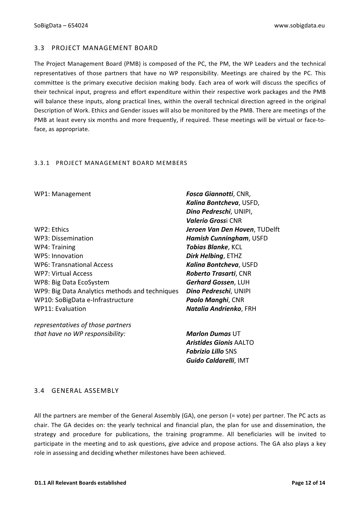## 3.3 PROJECT MANAGEMENT BOARD

The Project Management Board (PMB) is composed of the PC, the PM, the WP Leaders and the technical representatives of those partners that have no WP responsibility. Meetings are chaired by the PC. This committee is the primary executive decision making body. Each area of work will discuss the specifics of their technical input, progress and effort expenditure within their respective work packages and the PMB will balance these inputs, along practical lines, within the overall technical direction agreed in the original Description of Work. Ethics and Gender issues will also be monitored by the PMB. There are meetings of the PMB at least every six months and more frequently, if required. These meetings will be virtual or face-toface, as appropriate.

### 3.3.1 PROJECT MANAGEMENT BOARD MEMBERS

WP2: Ethics *Jeroen Van Den Hoven*, TUDelft WP3: Dissemination *Hamish Cunningham*, USFD WP4: Training *Tobias Blanke*, KCL WP5: Innovation **Dirk Helbing**, ETHZ WP6: Transnational Access *Kaling Bontcheva*, USFD WP7: Virtual Access *Roberto Trasarti*, CNR WP8: Big Data EcoSystem **Gerhard Gossen**, LUH WP9: Big Data Analytics methods and techniques *Dino Pedreschi*, UNIPI WP10: SoBigData e-Infrastructure **Paolo Manghi**, CNR WP11: Evaluation *Natalia Andrienko*, FRH

*representatives of those partners that have no WP responsibility: Marlon Dumas* UT

WP1: Management *Fosca Giannotti*, CNR, *Kalina Bontcheva*, USFD, *Dino Pedreschi*, UNIPI, *Valerio Gross*i CNR

> *Aristides Gionis* AALTO *Fabrizio Lillo* SNS *Guido Caldarelli*, IMT

### 3.4 GENERAL ASSEMBLY

All the partners are member of the General Assembly  $(GA)$ , one person  $(= \text{vote})$  per partner. The PC acts as chair. The GA decides on: the yearly technical and financial plan, the plan for use and dissemination, the strategy and procedure for publications, the training programme. All beneficiaries will be invited to participate in the meeting and to ask questions, give advice and propose actions. The GA also plays a key role in assessing and deciding whether milestones have been achieved.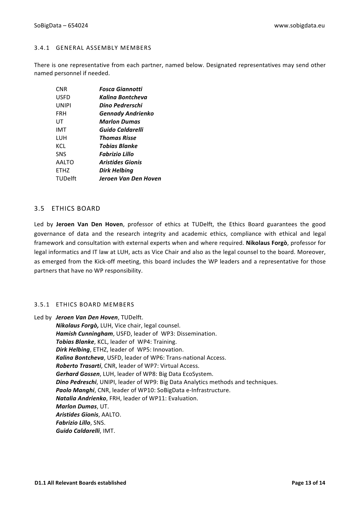#### 3.4.1 GENERAL ASSEMBLY MEMBERS

There is one representative from each partner, named below. Designated representatives may send other named personnel if needed.

| <b>Fosca Giannotti</b>  |
|-------------------------|
| Kalina Bontcheva        |
| Dino Pedrerschi         |
| Gennady Andrienko       |
| <b>Marlon Dumas</b>     |
| Guido Caldarelli        |
| Thomas Risse            |
| Tobias Blanke           |
| Fabrizio Lillo          |
| <b>Aristides Gionis</b> |
| Dirk Helbing            |
| Jeroen Van Den Hoven    |
|                         |

## 3.5 ETHICS BOARD

Led by **Jeroen Van Den Hoven**, professor of ethics at TUDelft, the Ethics Board guarantees the good governance of data and the research integrity and academic ethics, compliance with ethical and legal framework and consultation with external experts when and where required. **Nikolaus Forgò**, professor for legal informatics and IT law at LUH, acts as Vice Chair and also as the legal counsel to the board. Moreover, as emerged from the Kick-off meeting, this board includes the WP leaders and a representative for those partners that have no WP responsibility.

### 3.5.1 ETHICS BOARD MEMBERS

Led by Jeroen Van Den Hoven, TUDelft. *Nikolaus Forgò, LUH, Vice chair, legal counsel.* **Hamish Cunningham**, USFD, leader of WP3: Dissemination. **Tobias Blanke**, KCL, leader of WP4: Training. **Dirk Helbing**, ETHZ, leader of WP5: Innovation. Kalina Bontcheva, USFD, leader of WP6: Trans-national Access. *Roberto Trasarti, CNR, leader of WP7: Virtual Access.* Gerhard Gossen, LUH, leader of WP8: Big Data EcoSystem. **Dino Pedreschi**, UNIPI, leader of WP9: Big Data Analytics methods and techniques. **Paolo Manghi**, CNR, leader of WP10: SoBigData e-Infrastructure. *Natalia Andrienko*, FRH, leader of WP11: Evaluation. *Marlon Dumas*, UT. *Aristides Gionis*, AALTO. *Fabrizio Lillo*, SNS. Guido Caldarelli, IMT.